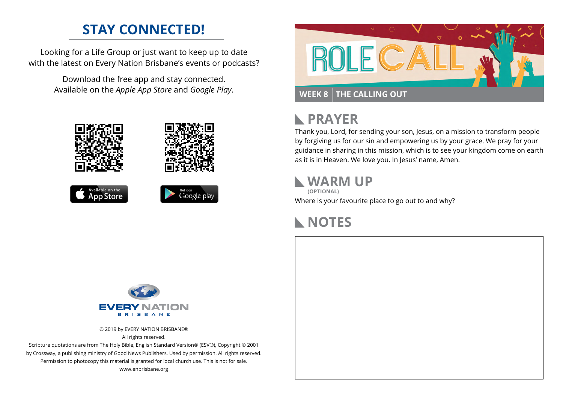#### **STAY CONNECTED!**

Looking for a Life Group or just want to keep up to date with the latest on Every Nation Brisbane's events or podcasts?

> Download the free app and stay connected. Available on the *Apple App Store* and *Google Play*.





```
Available on the
App Store
```




#### **PRAYER**  $\mathbb{R}$

Thank you, Lord, for sending your son, Jesus, on a mission to transform people by forgiving us for our sin and empowering us by your grace. We pray for your guidance in sharing in this mission, which is to see your kingdom come on earth as it is in Heaven. We love you. In Jesus' name, Amen.

#### **WARM UP**

Where is your favourite place to go out to and why? **(OPTIONAL)**

### **NOTES**



© 2019 by EVERY NATION BRISBANE® All rights reserved.

Scripture quotations are from The Holy Bible, English Standard Version® (ESV®), Copyright © 2001 by Crossway, a publishing ministry of Good News Publishers. Used by permission. All rights reserved. Permission to photocopy this material is granted for local church use. This is not for sale. www.enbrisbane.org